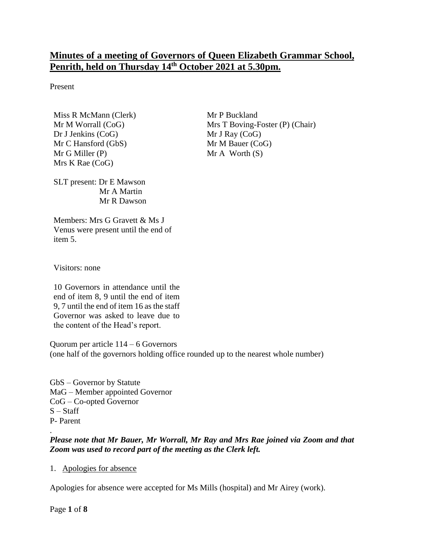# **Minutes of a meeting of Governors of Queen Elizabeth Grammar School, Penrith, held on Thursday 14th October 2021 at 5.30pm.**

Present

Miss R McMann (Clerk) Mr M Worrall (CoG) Dr J Jenkins (CoG) Mr C Hansford (GbS) Mr G Miller (P) Mrs K Rae (CoG)

Mr P Buckland Mrs T Boving-Foster (P) (Chair) Mr J Ray (CoG) Mr M Bauer (CoG)  $Mr A Worth(S)$ 

SLT present: Dr E Mawson Mr A Martin Mr R Dawson

Members: Mrs G Gravett & Ms J Venus were present until the end of item 5.

Visitors: none

10 Governors in attendance until the end of item 8, 9 until the end of item 9, 7 until the end of item 16 as the staff Governor was asked to leave due to the content of the Head's report.

Quorum per article 114 – 6 Governors (one half of the governors holding office rounded up to the nearest whole number)

GbS – Governor by Statute MaG – Member appointed Governor CoG – Co-opted Governor  $S - Staff$ P- Parent

#### . *Please note that Mr Bauer, Mr Worrall, Mr Ray and Mrs Rae joined via Zoom and that Zoom was used to record part of the meeting as the Clerk left.*

1. Apologies for absence

Apologies for absence were accepted for Ms Mills (hospital) and Mr Airey (work).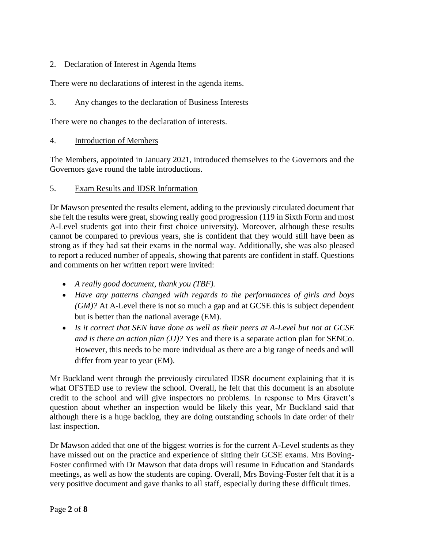### 2. Declaration of Interest in Agenda Items

There were no declarations of interest in the agenda items.

#### 3. Any changes to the declaration of Business Interests

There were no changes to the declaration of interests.

4. Introduction of Members

The Members, appointed in January 2021, introduced themselves to the Governors and the Governors gave round the table introductions.

#### 5. Exam Results and IDSR Information

Dr Mawson presented the results element, adding to the previously circulated document that she felt the results were great, showing really good progression (119 in Sixth Form and most A-Level students got into their first choice university). Moreover, although these results cannot be compared to previous years, she is confident that they would still have been as strong as if they had sat their exams in the normal way. Additionally, she was also pleased to report a reduced number of appeals, showing that parents are confident in staff. Questions and comments on her written report were invited:

- *A really good document, thank you (TBF).*
- *Have any patterns changed with regards to the performances of girls and boys (GM)?* At A-Level there is not so much a gap and at GCSE this is subject dependent but is better than the national average (EM).
- *Is it correct that SEN have done as well as their peers at A-Level but not at GCSE and is there an action plan (JJ)?* Yes and there is a separate action plan for SENCo. However, this needs to be more individual as there are a big range of needs and will differ from year to year (EM).

Mr Buckland went through the previously circulated IDSR document explaining that it is what OFSTED use to review the school. Overall, he felt that this document is an absolute credit to the school and will give inspectors no problems. In response to Mrs Gravett's question about whether an inspection would be likely this year, Mr Buckland said that although there is a huge backlog, they are doing outstanding schools in date order of their last inspection.

Dr Mawson added that one of the biggest worries is for the current A-Level students as they have missed out on the practice and experience of sitting their GCSE exams. Mrs Boving-Foster confirmed with Dr Mawson that data drops will resume in Education and Standards meetings, as well as how the students are coping. Overall, Mrs Boving-Foster felt that it is a very positive document and gave thanks to all staff, especially during these difficult times.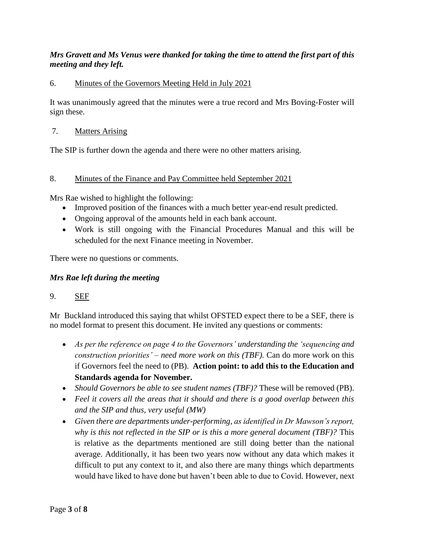## *Mrs Gravett and Ms Venus were thanked for taking the time to attend the first part of this meeting and they left.*

### 6. Minutes of the Governors Meeting Held in July 2021

It was unanimously agreed that the minutes were a true record and Mrs Boving-Foster will sign these.

### 7. Matters Arising

The SIP is further down the agenda and there were no other matters arising.

### 8. Minutes of the Finance and Pay Committee held September 2021

Mrs Rae wished to highlight the following:

- Improved position of the finances with a much better year-end result predicted.
- Ongoing approval of the amounts held in each bank account.
- Work is still ongoing with the Financial Procedures Manual and this will be scheduled for the next Finance meeting in November.

There were no questions or comments.

### *Mrs Rae left during the meeting*

### 9. SEF

Mr Buckland introduced this saying that whilst OFSTED expect there to be a SEF, there is no model format to present this document. He invited any questions or comments:

- *As per the reference on page 4 to the Governors' understanding the 'sequencing and construction priorities' – need more work on this (TBF).* Can do more work on this if Governors feel the need to (PB). **Action point: to add this to the Education and Standards agenda for November.**
- *Should Governors be able to see student names (TBF)?* These will be removed (PB).
- *Feel it covers all the areas that it should and there is a good overlap between this and the SIP and thus, very useful (MW)*
- *Given there are departments under-performing, as identified in Dr Mawson's report, why is this not reflected in the SIP or is this a more general document (TBF)?* This is relative as the departments mentioned are still doing better than the national average. Additionally, it has been two years now without any data which makes it difficult to put any context to it, and also there are many things which departments would have liked to have done but haven't been able to due to Covid. However, next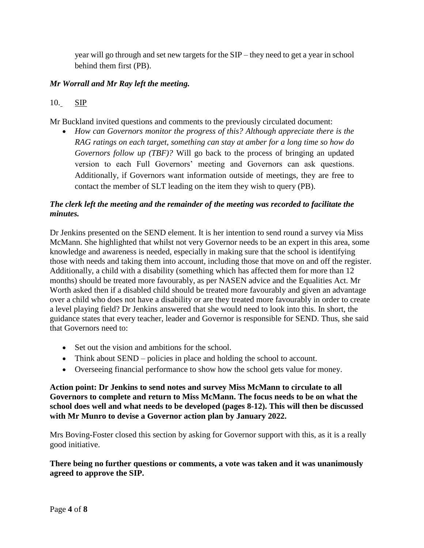year will go through and set new targets for the SIP – they need to get a year in school behind them first (PB).

## *Mr Worrall and Mr Ray left the meeting.*

## 10. SIP

Mr Buckland invited questions and comments to the previously circulated document:

 *How can Governors monitor the progress of this? Although appreciate there is the RAG ratings on each target, something can stay at amber for a long time so how do Governors follow up (TBF)?* Will go back to the process of bringing an updated version to each Full Governors' meeting and Governors can ask questions. Additionally, if Governors want information outside of meetings, they are free to contact the member of SLT leading on the item they wish to query (PB).

### *The clerk left the meeting and the remainder of the meeting was recorded to facilitate the minutes.*

Dr Jenkins presented on the SEND element. It is her intention to send round a survey via Miss McMann. She highlighted that whilst not very Governor needs to be an expert in this area, some knowledge and awareness is needed, especially in making sure that the school is identifying those with needs and taking them into account, including those that move on and off the register. Additionally, a child with a disability (something which has affected them for more than 12 months) should be treated more favourably, as per NASEN advice and the Equalities Act. Mr Worth asked then if a disabled child should be treated more favourably and given an advantage over a child who does not have a disability or are they treated more favourably in order to create a level playing field? Dr Jenkins answered that she would need to look into this. In short, the guidance states that every teacher, leader and Governor is responsible for SEND. Thus, she said that Governors need to:

- Set out the vision and ambitions for the school.
- Think about SEND policies in place and holding the school to account.
- Overseeing financial performance to show how the school gets value for money.

**Action point: Dr Jenkins to send notes and survey Miss McMann to circulate to all Governors to complete and return to Miss McMann. The focus needs to be on what the school does well and what needs to be developed (pages 8-12). This will then be discussed with Mr Munro to devise a Governor action plan by January 2022.**

Mrs Boving-Foster closed this section by asking for Governor support with this, as it is a really good initiative.

**There being no further questions or comments, a vote was taken and it was unanimously agreed to approve the SIP.**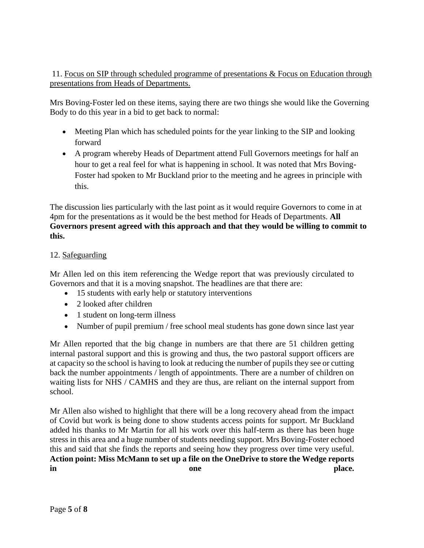## 11. Focus on SIP through scheduled programme of presentations & Focus on Education through presentations from Heads of Departments.

Mrs Boving-Foster led on these items, saying there are two things she would like the Governing Body to do this year in a bid to get back to normal:

- Meeting Plan which has scheduled points for the year linking to the SIP and looking forward
- A program whereby Heads of Department attend Full Governors meetings for half an hour to get a real feel for what is happening in school. It was noted that Mrs Boving-Foster had spoken to Mr Buckland prior to the meeting and he agrees in principle with this.

The discussion lies particularly with the last point as it would require Governors to come in at 4pm for the presentations as it would be the best method for Heads of Departments. **All Governors present agreed with this approach and that they would be willing to commit to this.** 

## 12. Safeguarding

Mr Allen led on this item referencing the Wedge report that was previously circulated to Governors and that it is a moving snapshot. The headlines are that there are:

- 15 students with early help or statutory interventions
- 2 looked after children
- 1 student on long-term illness
- Number of pupil premium / free school meal students has gone down since last year

Mr Allen reported that the big change in numbers are that there are 51 children getting internal pastoral support and this is growing and thus, the two pastoral support officers are at capacity so the school is having to look at reducing the number of pupils they see or cutting back the number appointments / length of appointments. There are a number of children on waiting lists for NHS / CAMHS and they are thus, are reliant on the internal support from school.

Mr Allen also wished to highlight that there will be a long recovery ahead from the impact of Covid but work is being done to show students access points for support. Mr Buckland added his thanks to Mr Martin for all his work over this half-term as there has been huge stress in this area and a huge number of students needing support. Mrs Boving-Foster echoed this and said that she finds the reports and seeing how they progress over time very useful. **Action point: Miss McMann to set up a file on the OneDrive to store the Wedge reports in** one place.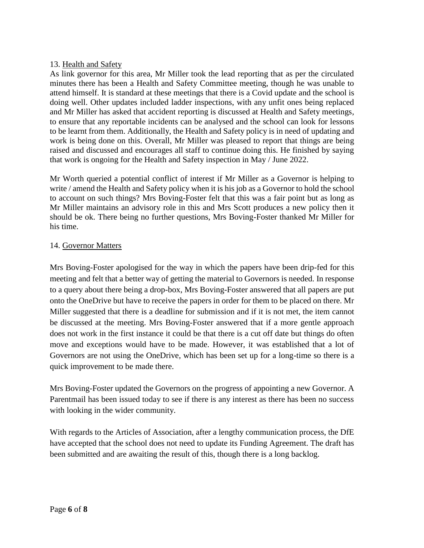### 13. Health and Safety

As link governor for this area, Mr Miller took the lead reporting that as per the circulated minutes there has been a Health and Safety Committee meeting, though he was unable to attend himself. It is standard at these meetings that there is a Covid update and the school is doing well. Other updates included ladder inspections, with any unfit ones being replaced and Mr Miller has asked that accident reporting is discussed at Health and Safety meetings, to ensure that any reportable incidents can be analysed and the school can look for lessons to be learnt from them. Additionally, the Health and Safety policy is in need of updating and work is being done on this. Overall, Mr Miller was pleased to report that things are being raised and discussed and encourages all staff to continue doing this. He finished by saying that work is ongoing for the Health and Safety inspection in May / June 2022.

Mr Worth queried a potential conflict of interest if Mr Miller as a Governor is helping to write / amend the Health and Safety policy when it is his job as a Governor to hold the school to account on such things? Mrs Boving-Foster felt that this was a fair point but as long as Mr Miller maintains an advisory role in this and Mrs Scott produces a new policy then it should be ok. There being no further questions, Mrs Boving-Foster thanked Mr Miller for his time.

#### 14. Governor Matters

Mrs Boving-Foster apologised for the way in which the papers have been drip-fed for this meeting and felt that a better way of getting the material to Governors is needed. In response to a query about there being a drop-box, Mrs Boving-Foster answered that all papers are put onto the OneDrive but have to receive the papers in order for them to be placed on there. Mr Miller suggested that there is a deadline for submission and if it is not met, the item cannot be discussed at the meeting. Mrs Boving-Foster answered that if a more gentle approach does not work in the first instance it could be that there is a cut off date but things do often move and exceptions would have to be made. However, it was established that a lot of Governors are not using the OneDrive, which has been set up for a long-time so there is a quick improvement to be made there.

Mrs Boving-Foster updated the Governors on the progress of appointing a new Governor. A Parentmail has been issued today to see if there is any interest as there has been no success with looking in the wider community.

With regards to the Articles of Association, after a lengthy communication process, the DfE have accepted that the school does not need to update its Funding Agreement. The draft has been submitted and are awaiting the result of this, though there is a long backlog.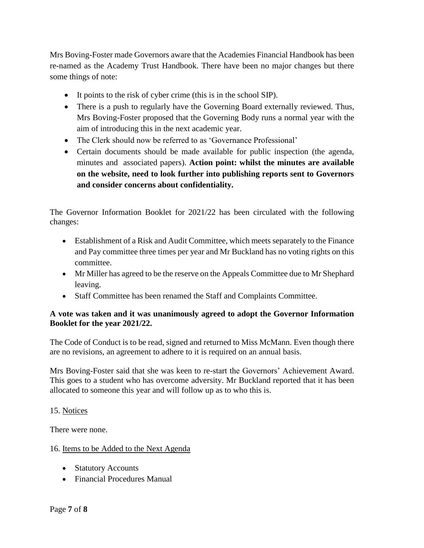Mrs Boving-Foster made Governors aware that the Academies Financial Handbook has been re-named as the Academy Trust Handbook. There have been no major changes but there some things of note:

- It points to the risk of cyber crime (this is in the school SIP).
- There is a push to regularly have the Governing Board externally reviewed. Thus, Mrs Boving-Foster proposed that the Governing Body runs a normal year with the aim of introducing this in the next academic year.
- The Clerk should now be referred to as 'Governance Professional'
- Certain documents should be made available for public inspection (the agenda, minutes and associated papers). **Action point: whilst the minutes are available on the website, need to look further into publishing reports sent to Governors and consider concerns about confidentiality.**

The Governor Information Booklet for 2021/22 has been circulated with the following changes:

- Establishment of a Risk and Audit Committee, which meets separately to the Finance and Pay committee three times per year and Mr Buckland has no voting rights on this committee.
- Mr Miller has agreed to be the reserve on the Appeals Committee due to Mr Shephard leaving.
- Staff Committee has been renamed the Staff and Complaints Committee.

### **A vote was taken and it was unanimously agreed to adopt the Governor Information Booklet for the year 2021/22.**

The Code of Conduct is to be read, signed and returned to Miss McMann. Even though there are no revisions, an agreement to adhere to it is required on an annual basis.

Mrs Boving-Foster said that she was keen to re-start the Governors' Achievement Award. This goes to a student who has overcome adversity. Mr Buckland reported that it has been allocated to someone this year and will follow up as to who this is.

### 15. Notices

There were none.

## 16. Items to be Added to the Next Agenda

- Statutory Accounts
- Financial Procedures Manual